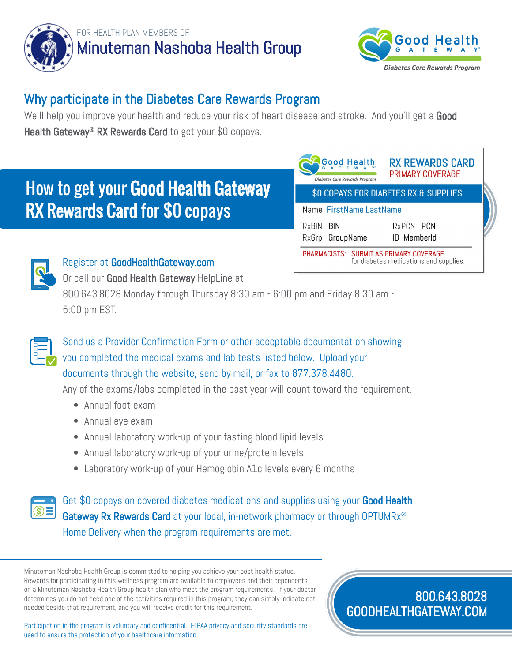



## Why participate in the Diabetes Care Rewards Program

We'll help you improve your health and reduce your risk of heart disease and stroke. And you'll get a Good Health Gateway<sup>®</sup> RX Rewards Card to get your \$0 copays.

## How to get your Good Health Gateway RX Rewards Card for \$0 copays

| <b>Good Health</b><br><b>Diabetes Care Rewards Program</b>                        | <b>RX REWARDS CARD</b><br><b>PRIMARY COVERAGE</b> |  |
|-----------------------------------------------------------------------------------|---------------------------------------------------|--|
| \$0 COPAYS FOR DIABETES RX & SUPPLIES                                             |                                                   |  |
| Name FirstName LastName                                                           |                                                   |  |
| RxBIN BIN<br>RxGrp GroupName                                                      | RXPCN PCN<br>ID MemberId                          |  |
| PHARMACISTS: SUBMIT AS PRIMARY COVERAGE<br>for diabetes medications and supplies. |                                                   |  |



## Register at GoodHealthGateway.com

Or call our Good Health Gateway HelpLine at 800.643.8028 Monday through Thursday 8:30 am - 6:00 pm and Friday 8:30 am - 5:00 pm EST.



Send us a Provider Confirmation Form or other acceptable documentation showing you completed the medical exams and lab tests listed below. Upload your documents through the website, send by mail, or fax to 877.378.4480.

Any of the exams/labs completed in the past year will count toward the requirement.

- Annual foot exam
- Annual eye exam
- Annual laboratory work-up of your fasting blood lipid levels
- Annual laboratory work-up of your urine/protein levels
- Laboratory work-up of your Hemoglobin A1c levels every 6 months



Get \$0 copays on covered diabetes medications and supplies using your Good Health Gateway Rx Rewards Card at your local, in-network pharmacy or through OPTUMRx<sup>®</sup> Home Delivery when the program requirements are met.

Minuteman Nashoba Health Group is committed to helping you achieve your best health status. Rewards for participating in this wellness program are available to employees and their dependents on a Minuteman Nashoba Health Group health plan who meet the program requirements. If your doctor determines you do not need one of the activities required in this program, they can simply indicate not needed beside that requirement, and you will receive credit for this requirement.

Participation in the program is voluntary and confidential. HIPAA privacy and security standards are used to ensure the protection of your healthcare information.

800.643.8028 GOODHEALTHGATEWAY.COM